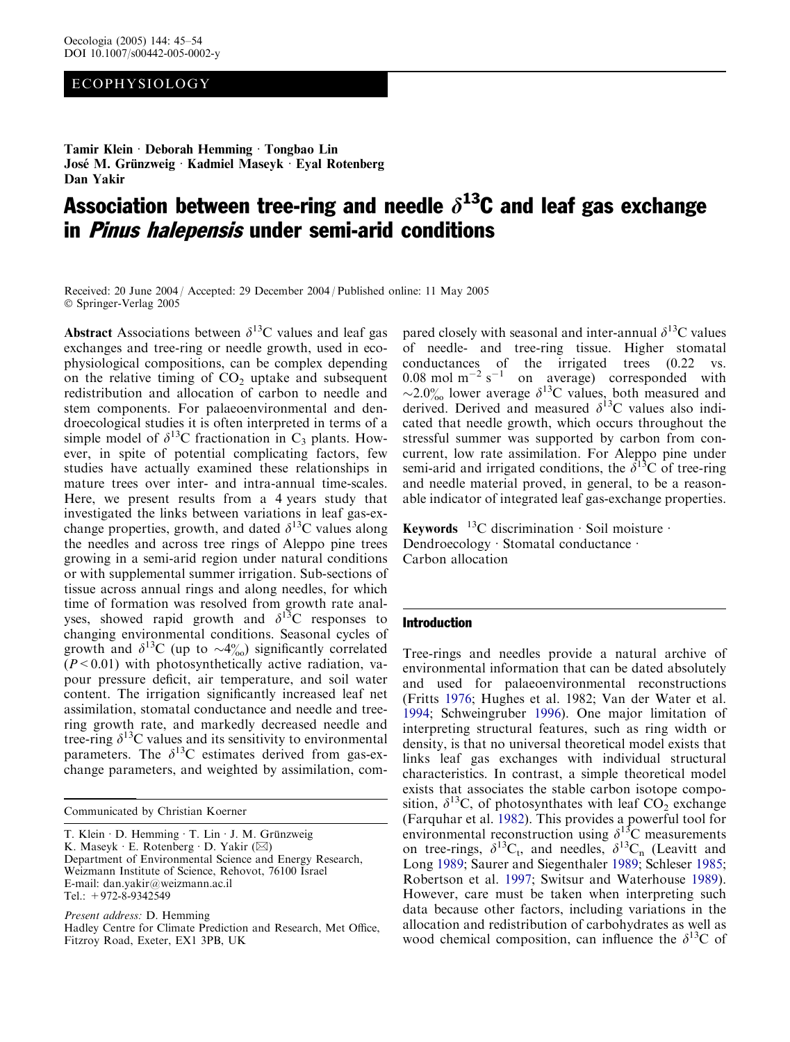# ECOPHYSIOLOGY

Tamir Klein · Deborah Hemming · Tongbao Lin José M. Grünzweig · Kadmiel Maseyk · Eyal Rotenberg Dan Yakir

# Association between tree-ring and needle  $\delta^{13}$ C and leaf gas exchange in *Pinus halepensis* under semi-arid conditions

Received: 20 June 2004 / Accepted: 29 December 2004 / Published online: 11 May 2005 Springer-Verlag 2005

Abstract Associations between  $\delta^{13}$ C values and leaf gas exchanges and tree-ring or needle growth, used in ecophysiological compositions, can be complex depending on the relative timing of  $CO<sub>2</sub>$  uptake and subsequent redistribution and allocation of carbon to needle and stem components. For palaeoenvironmental and dendroecological studies it is often interpreted in terms of a simple model of  $\delta^{13}$ C fractionation in C<sub>3</sub> plants. However, in spite of potential complicating factors, few studies have actually examined these relationships in mature trees over inter- and intra-annual time-scales. Here, we present results from a 4 years study that investigated the links between variations in leaf gas-exchange properties, growth, and dated  $\delta^{13}$ C values along the needles and across tree rings of Aleppo pine trees growing in a semi-arid region under natural conditions or with supplemental summer irrigation. Sub-sections of tissue across annual rings and along needles, for which time of formation was resolved from growth rate analyses, showed rapid growth and  $\delta^{13}$ C responses to changing environmental conditions. Seasonal cycles of growth and  $\delta^{13}$ C (up to  $\sim$ 4%) significantly correlated  $(P<0.01)$  with photosynthetically active radiation, vapour pressure deficit, air temperature, and soil water content. The irrigation significantly increased leaf net assimilation, stomatal conductance and needle and treering growth rate, and markedly decreased needle and tree-ring  $\delta^{13}$ C values and its sensitivity to environmental parameters. The  $\delta^{13}$ C estimates derived from gas-exchange parameters, and weighted by assimilation, com-

Communicated by Christian Koerner

T. Klein  $\cdot$  D. Hemming  $\cdot$  T. Lin  $\cdot$  J. M. Grünzweig K. Maseyk E. Rotenberg  $\cdot$  D. Yakir ( $\boxtimes$ ) Department of Environmental Science and Energy Research, Weizmann Institute of Science, Rehovot, 76100 Israel E-mail: dan.yakir@weizmann.ac.il Tel.:  $+972-8-9342549$ 

Present address: D. Hemming Hadley Centre for Climate Prediction and Research, Met Office, Fitzroy Road, Exeter, EX1 3PB, UK

pared closely with seasonal and inter-annual  $\delta^{13}$ C values of needle- and tree-ring tissue. Higher stomatal conductances of the irrigated trees (0.22 vs. 0.08 mol  $m^{-2} s^{-1}$  on average) corresponded with  $\sim$ 2.0‰ lower average  $\delta^{13}$ C values, both measured and derived. Derived and measured  $\delta^{13}$ C values also indicated that needle growth, which occurs throughout the stressful summer was supported by carbon from concurrent, low rate assimilation. For Aleppo pine under semi-arid and irrigated conditions, the  $\delta^{13}$ C of tree-ring and needle material proved, in general, to be a reasonable indicator of integrated leaf gas-exchange properties.

**Keywords** <sup>13</sup>C discrimination  $\cdot$  Soil moisture  $\cdot$ Dendroecology · Stomatal conductance · Carbon allocation

#### Introduction

Tree-rings and needles provide a natural archive of environmental information that can be dated absolutely and used for palaeoenvironmental reconstructions (Fritts [1976](#page-8-0); Hughes et al. 1982; Van der Water et al. [1994;](#page-9-0) Schweingruber [1996\)](#page-9-0). One major limitation of interpreting structural features, such as ring width or density, is that no universal theoretical model exists that links leaf gas exchanges with individual structural characteristics. In contrast, a simple theoretical model exists that associates the stable carbon isotope composition,  $\delta^{13}$ C, of photosynthates with leaf CO<sub>2</sub> exchange (Farquhar et al. [1982\)](#page-8-0). This provides a powerful tool for environmental reconstruction using  $\delta^{13}$ C measurements on tree-rings,  $\delta^{13}C_t$ , and needles,  $\delta^{13}C_n$  (Leavitt and Long [1989](#page-8-0); Saurer and Siegenthaler [1989;](#page-8-0) Schleser [1985](#page-8-0); Robertson et al. [1997](#page-8-0); Switsur and Waterhouse [1989\)](#page-9-0). However, care must be taken when interpreting such data because other factors, including variations in the allocation and redistribution of carbohydrates as well as wood chemical composition, can influence the  $\delta^{13}$ C of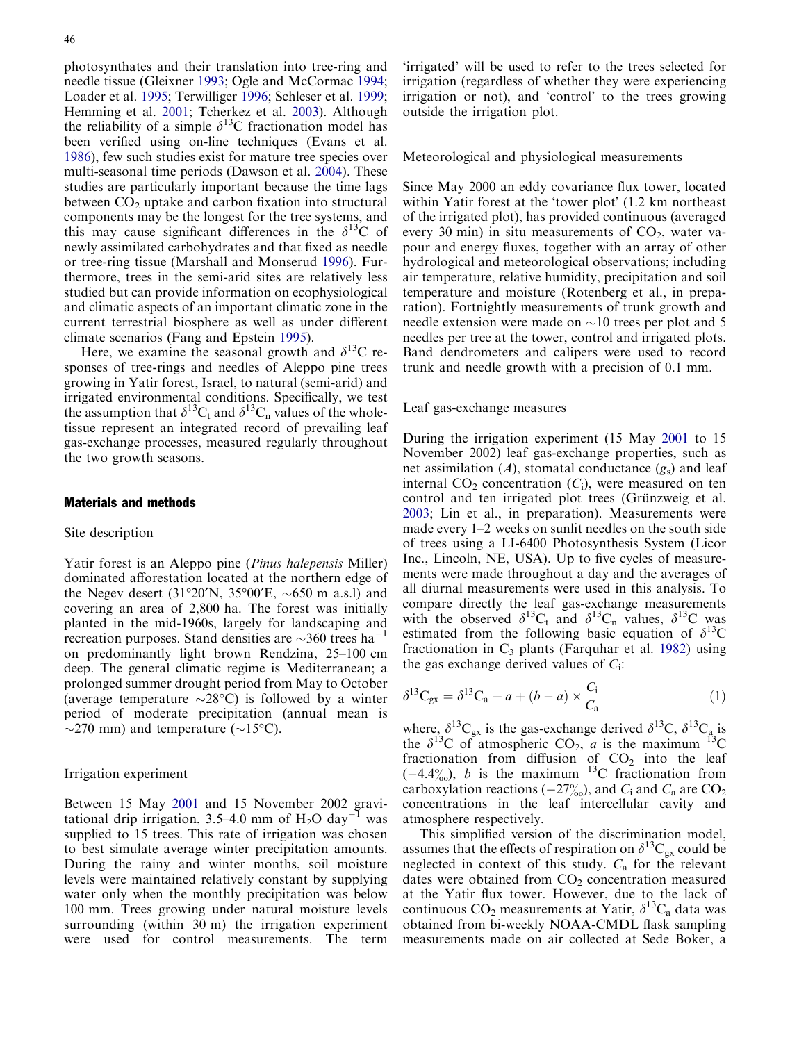photosynthates and their translation into tree-ring and needle tissue (Gleixner [1993](#page-8-0); Ogle and McCormac [1994](#page-8-0); Loader et al. [1995](#page-8-0); Terwilliger [1996;](#page-9-0) Schleser et al. [1999](#page-9-0); Hemming et al. [2001](#page-8-0); Tcherkez et al. [2003](#page-9-0)). Although the reliability of a simple  $\delta^{13}$ C fractionation model has been verified using on-line techniques (Evans et al. [1986](#page-8-0)), few such studies exist for mature tree species over multi-seasonal time periods (Dawson et al. [2004\)](#page-8-0). These studies are particularly important because the time lags between  $CO<sub>2</sub>$  uptake and carbon fixation into structural components may be the longest for the tree systems, and this may cause significant differences in the  $\delta^{13}$ C of newly assimilated carbohydrates and that fixed as needle or tree-ring tissue (Marshall and Monserud [1996\)](#page-8-0). Furthermore, trees in the semi-arid sites are relatively less studied but can provide information on ecophysiological and climatic aspects of an important climatic zone in the current terrestrial biosphere as well as under different climate scenarios (Fang and Epstein [1995\)](#page-8-0).

Here, we examine the seasonal growth and  $\delta^{13}C$  responses of tree-rings and needles of Aleppo pine trees growing in Yatir forest, Israel, to natural (semi-arid) and irrigated environmental conditions. Specifically, we test the assumption that  $\delta^{13}C_t$  and  $\delta^{13}C_n$  values of the wholetissue represent an integrated record of prevailing leaf gas-exchange processes, measured regularly throughout the two growth seasons.

#### Materials and methods

### Site description

Yatir forest is an Aleppo pine (Pinus halepensis Miller) dominated afforestation located at the northern edge of the Negev desert (31°20′N, 35°00′E,  $\sim$ 650 m a.s.l) and covering an area of 2,800 ha. The forest was initially planted in the mid-1960s, largely for landscaping and recreation purposes. Stand densities are  $\sim$ 360 trees ha<sup>-1</sup> on predominantly light brown Rendzina, 25–100 cm deep. The general climatic regime is Mediterranean; a prolonged summer drought period from May to October (average temperature  $\sim$ 28°C) is followed by a winter period of moderate precipitation (annual mean is  $\sim$ 270 mm) and temperature ( $\sim$ 15°C).

#### Irrigation experiment

Between 15 May [2001](#page-8-0) and 15 November 2002 gravitational drip irrigation, 3.5–4.0 mm of  $H_2O$  day<sup>-1</sup> was supplied to 15 trees. This rate of irrigation was chosen to best simulate average winter precipitation amounts. During the rainy and winter months, soil moisture levels were maintained relatively constant by supplying water only when the monthly precipitation was below 100 mm. Trees growing under natural moisture levels surrounding (within 30 m) the irrigation experiment were used for control measurements. The term

'irrigated' will be used to refer to the trees selected for irrigation (regardless of whether they were experiencing irrigation or not), and 'control' to the trees growing outside the irrigation plot.

Meteorological and physiological measurements

Since May 2000 an eddy covariance flux tower, located within Yatir forest at the 'tower plot' (1.2 km northeast of the irrigated plot), has provided continuous (averaged every 30 min) in situ measurements of  $CO<sub>2</sub>$ , water vapour and energy fluxes, together with an array of other hydrological and meteorological observations; including air temperature, relative humidity, precipitation and soil temperature and moisture (Rotenberg et al., in preparation). Fortnightly measurements of trunk growth and needle extension were made on  $\sim$ 10 trees per plot and 5 needles per tree at the tower, control and irrigated plots. Band dendrometers and calipers were used to record trunk and needle growth with a precision of 0.1 mm.

Leaf gas-exchange measures

During the irrigation experiment (15 May [2001](#page-8-0) to 15 November 2002) leaf gas-exchange properties, such as net assimilation  $(A)$ , stomatal conductance  $(g_s)$  and leaf internal  $CO<sub>2</sub>$  concentration  $(C<sub>i</sub>)$ , were measured on ten control and ten irrigated plot trees (Grünzweig et al. [2003;](#page-8-0) Lin et al., in preparation). Measurements were made every 1–2 weeks on sunlit needles on the south side of trees using a LI-6400 Photosynthesis System (Licor Inc., Lincoln, NE, USA). Up to five cycles of measurements were made throughout a day and the averages of all diurnal measurements were used in this analysis. To compare directly the leaf gas-exchange measurements with the observed  $\delta^{13}C_t$  and  $\delta^{13}C_n$  values,  $\delta^{13}C$  was estimated from the following basic equation of  $\delta^{13}$ C fractionation in  $C_3$  plants (Farquhar et al. [1982\)](#page-8-0) using the gas exchange derived values of  $C_i$ :

$$
\delta^{13}C_{gx} = \delta^{13}C_a + a + (b - a) \times \frac{C_i}{C_a}
$$
 (1)

where,  $\delta^{13}C_{gx}$  is the gas-exchange derived  $\delta^{13}C$ ,  $\delta^{13}C_{a}$  is the  $\delta^{13}$ C of atmospheric CO<sub>2</sub>, *a* is the maximum <sup>13</sup>C fractionation from diffusion of  $CO<sub>2</sub>$  into the leaf  $(-4.4\%)$ , *b* is the maximum <sup>13</sup>C fractionation from carboxylation reactions ( $-27\%$ ), and  $C_1$  and  $C_a$  are CO<sub>2</sub> concentrations in the leaf intercellular cavity and atmosphere respectively.

This simplified version of the discrimination model, assumes that the effects of respiration on  $\delta^{13}C_{gx}$  could be neglected in context of this study.  $C_a$  for the relevant dates were obtained from  $CO<sub>2</sub>$  concentration measured at the Yatir flux tower. However, due to the lack of continuous  $CO_2$  measurements at Yatir,  $\delta^{13}C_a$  data was obtained from bi-weekly NOAA-CMDL flask sampling measurements made on air collected at Sede Boker, a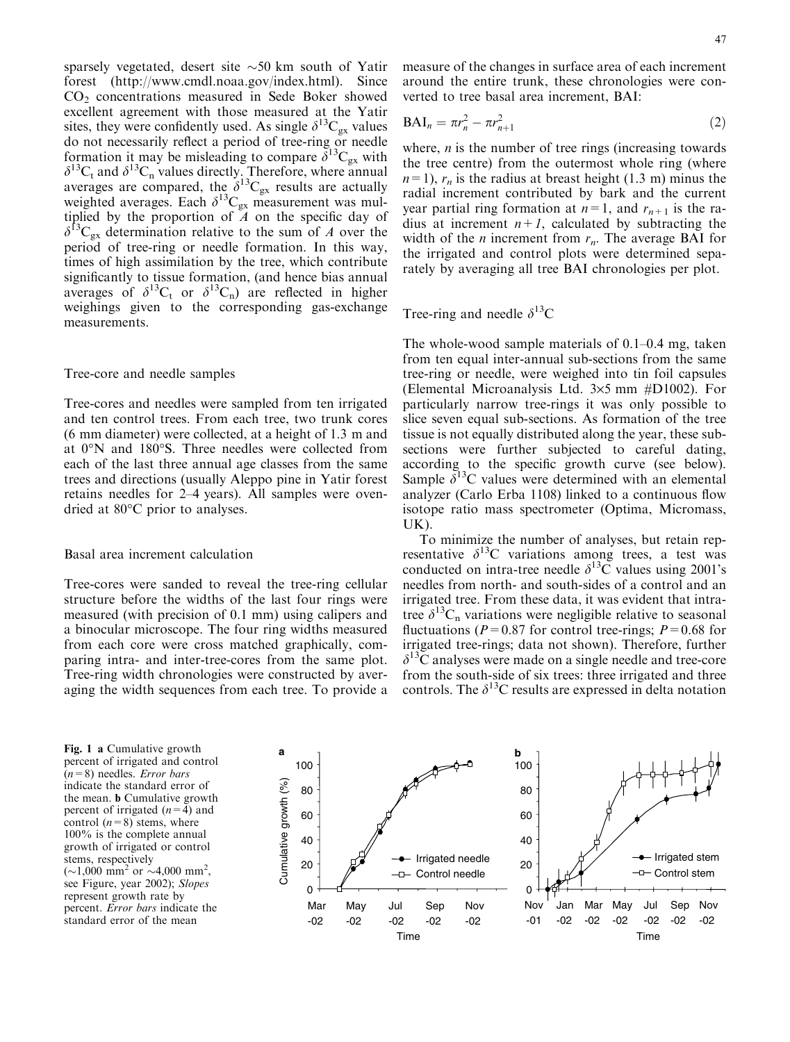<span id="page-2-0"></span>sparsely vegetated, desert site  $\sim$  50 km south of Yatir forest (http://www.cmdl.noaa.gov/index.html). Since  $CO<sub>2</sub>$  concentrations measured in Sede Boker showed excellent agreement with those measured at the Yatir sites, they were confidently used. As single  $\delta^{13}C_{gx}$  values do not necessarily reflect a period of tree-ring or needle formation it may be misleading to compare  $\delta^{13}C_{gx}$  with  $\delta^{13}C_t$  and  $\delta^{13}C_n$  values directly. Therefore, where annual averages are compared, the  $\delta^{13}C_{gx}$  results are actually weighted averages. Each  $\delta^{13}C_{gx}$  measurement was multiplied by the proportion of  $A$  on the specific day of  $\delta^{13}C_{gx}$  determination relative to the sum of A over the period of tree-ring or needle formation. In this way, times of high assimilation by the tree, which contribute significantly to tissue formation, (and hence bias annual averages of  $\delta^{13}C_t$  or  $\delta^{13}C_n$ ) are reflected in higher weighings given to the corresponding gas-exchange measurements.

#### Tree-core and needle samples

Tree-cores and needles were sampled from ten irrigated and ten control trees. From each tree, two trunk cores (6 mm diameter) were collected, at a height of 1.3 m and at 0°N and 180°S. Three needles were collected from each of the last three annual age classes from the same trees and directions (usually Aleppo pine in Yatir forest retains needles for 2–4 years). All samples were ovendried at 80°C prior to analyses.

#### Basal area increment calculation

Tree-cores were sanded to reveal the tree-ring cellular structure before the widths of the last four rings were measured (with precision of 0.1 mm) using calipers and a binocular microscope. The four ring widths measured from each core were cross matched graphically, comparing intra- and inter-tree-cores from the same plot. Tree-ring width chronologies were constructed by averaging the width sequences from each tree. To provide a

measure of the changes in surface area of each increment around the entire trunk, these chronologies were converted to tree basal area increment, BAI:

$$
BAI_n = \pi r_n^2 - \pi r_{n+1}^2 \tag{2}
$$

where,  $n$  is the number of tree rings (increasing towards the tree centre) from the outermost whole ring (where  $n=1$ ,  $r_n$  is the radius at breast height (1.3 m) minus the radial increment contributed by bark and the current year partial ring formation at  $n=1$ , and  $r_{n+1}$  is the radius at increment  $n+1$ , calculated by subtracting the width of the *n* increment from  $r_n$ . The average BAI for the irrigated and control plots were determined separately by averaging all tree BAI chronologies per plot.

Tree-ring and needle  $\delta^{13}$ C

The whole-wood sample materials of 0.1–0.4 mg, taken from ten equal inter-annual sub-sections from the same tree-ring or needle, were weighed into tin foil capsules (Elemental Microanalysis Ltd.  $3\times 5$  mm #D1002). For particularly narrow tree-rings it was only possible to slice seven equal sub-sections. As formation of the tree tissue is not equally distributed along the year, these subsections were further subjected to careful dating, according to the specific growth curve (see below). Sample  $\delta^{13}$ C values were determined with an elemental analyzer (Carlo Erba 1108) linked to a continuous flow isotope ratio mass spectrometer (Optima, Micromass, UK).

To minimize the number of analyses, but retain representative  $\delta^{13}$ C variations among trees, a test was conducted on intra-tree needle  $\delta^{13}$ C values using 2001's needles from north- and south-sides of a control and an irrigated tree. From these data, it was evident that intratree  $\delta^{13}C_n$  variations were negligible relative to seasonal fluctuations ( $P=0.87$  for control tree-rings;  $P=0.68$  for irrigated tree-rings; data not shown). Therefore, further  $\delta^{13}$ C analyses were made on a single needle and tree-core from the south-side of six trees: three irrigated and three controls. The  $\delta^{13}$ C results are expressed in delta notation

percent of irrigated and control  $(n=8)$  needles. *Error bars* indicate the standard error of the mean. b Cumulative growth percent of irrigated  $(n=4)$  and control  $(n=8)$  stems, where 100% is the complete annual growth of irrigated or control stems, respectively  $(\sim 1,000 \text{ mm}^2 \text{ or } \sim 4,000 \text{ mm}^2,$ see Figure, year 2002); Slopes represent growth rate by percent. Error bars indicate the standard error of the mean

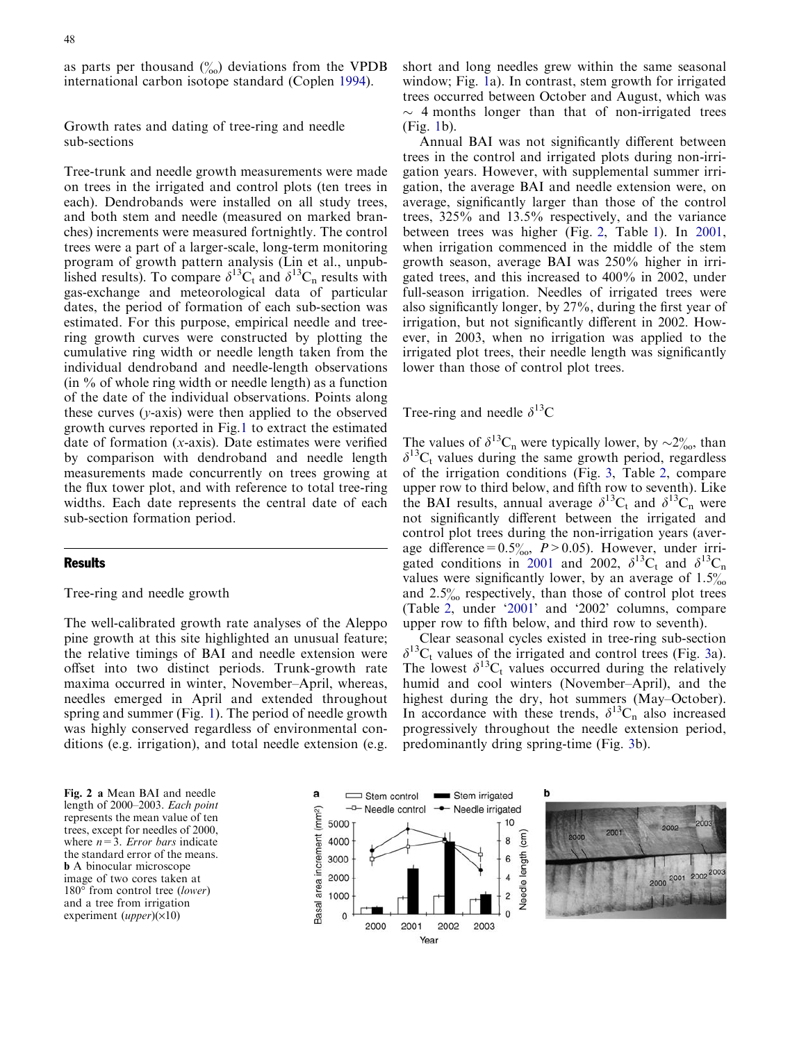<span id="page-3-0"></span>as parts per thousand  $\binom{0}{00}$  deviations from the VPDB international carbon isotope standard (Coplen [1994\)](#page-8-0).

Growth rates and dating of tree-ring and needle sub-sections

Tree-trunk and needle growth measurements were made on trees in the irrigated and control plots (ten trees in each). Dendrobands were installed on all study trees, and both stem and needle (measured on marked branches) increments were measured fortnightly. The control trees were a part of a larger-scale, long-term monitoring program of growth pattern analysis (Lin et al., unpublished results). To compare  $\delta^{13}C_t$  and  $\delta^{13}C_n$  results with gas-exchange and meteorological data of particular dates, the period of formation of each sub-section was estimated. For this purpose, empirical needle and treering growth curves were constructed by plotting the cumulative ring width or needle length taken from the individual dendroband and needle-length observations  $(in \% of whole ring width or needle length)$  as a function of the date of the individual observations. Points along these curves  $(y-axis)$  were then applied to the observed growth curves reported in Fig.1 [to extract the estimated](#page-2-0) date of formation (x[-axis\). Date estimates were verified](#page-2-0) [by comparison with dendroband and needle length](#page-2-0) [measurements made concurrently on trees growing at](#page-2-0) [the flux tower plot, and with reference to total tree-ring](#page-2-0) [widths. Each date represents the central date of each](#page-2-0) [sub-section formation period.](#page-2-0)

## **Results**

# Tree-ring and needle growth

The well-calibrated growth rate analyses of the Aleppo pine growth at this site highlighted an unusual feature; the relative timings of BAI and needle extension were offset into two distinct periods. Trunk-growth rate maxima occurred in winter, November–April, whereas, needles emerged in April and extended throughout spring and summer (Fig. [1\). The period of needle growth](#page-2-0) [was highly conserved regardless of environmental con](#page-2-0)[ditions \(e.g. irrigation\), and total needle extension \(e.g.](#page-2-0)

[short and long needles grew within the same seasonal](#page-2-0) window; Fig. [1a\). In contrast, stem growth for irrigated](#page-2-0) [trees occurred between October and August, which was](#page-2-0)  $\sim$  [4 months longer than that of non-irrigated trees](#page-2-0) [\(Fig.](#page-2-0) 1b).

Annual BAI was not significantly different between trees in the control and irrigated plots during non-irrigation years. However, with supplemental summer irrigation, the average BAI and needle extension were, on average, significantly larger than those of the control trees, 325% and 13.5% respectively, and the variance between trees was higher (Fig. [2, Table](#page-8-0) 1). In 2001, when irrigation commenced in the middle of the stem growth season, average BAI was 250% higher in irrigated trees, and this increased to 400% in 2002, under full-season irrigation. Needles of irrigated trees were also significantly longer, by 27%, during the first year of irrigation, but not significantly different in 2002. However, in 2003, when no irrigation was applied to the irrigated plot trees, their needle length was significantly lower than those of control plot trees.

Tree-ring and needle  $\delta^{13}$ C

The values of  $\delta^{13}C_n$  were typically lower, by  $\sim 2\%$ , than  $\delta^{13}C_t$  values during the same growth period, regardless of the irrigation conditions (Fig. 3, Table [2, compare](#page-4-0) [upper row to third below, and fifth row to seventh\). Like](#page-4-0) [the](#page-4-0) [BAI](#page-4-0) [results,](#page-4-0) [annual](#page-4-0) [average](#page-4-0)  $\delta^{13}C_t$  and  $\delta^{13}C_n$  [were](#page-4-0) [not significantly different between the irrigated and](#page-4-0) [control plot trees during the non-irrigation years \(aver](#page-4-0)age difference=0.5 $\frac{\%}{\%}$ , P > 0.05). However, under irri[gated conditions in](#page-8-0) 2001 and 2002,  $\delta^{13}C_t$  and  $\delta^{13}C_n$ values were significantly lower, by an average of  $1.5\%$ and  $2.5\%$  respectively, than those of control plot trees (Table [2, under '2001](#page-8-0)' and '2002' columns, compare upper row to fifth below, and third row to seventh).

Clear seasonal cycles existed in tree-ring sub-section  $\delta^{13}C_t$  values of the irrigated and control trees (Fig. [3a\).](#page-4-0) [The](#page-4-0) [lowest](#page-4-0)  $\delta^{13}C_t$  [values occurred during the relatively](#page-4-0) [humid and cool winters \(November–April\), and the](#page-4-0) [highest during the dry, hot summers \(May–October\).](#page-4-0) [In](#page-4-0) [accordance](#page-4-0) [with](#page-4-0) [these](#page-4-0) [trends,](#page-4-0)  $\delta^{13}C_n$  [also increased](#page-4-0) [progressively throughout the needle extension period,](#page-4-0) [predominantly dring spring-time \(Fig.](#page-4-0) 3b).

Fig. 2 a Mean BAI and needle length of 2000–2003. Each point represents the mean value of ten trees, except for needles of 2000, where  $n=3$ . *Error bars* indicate the standard error of the means. b A binocular microscope image of two cores taken at 180° from control tree (lower) and a tree from irrigation experiment (*upper*) $(\times 10)$ 



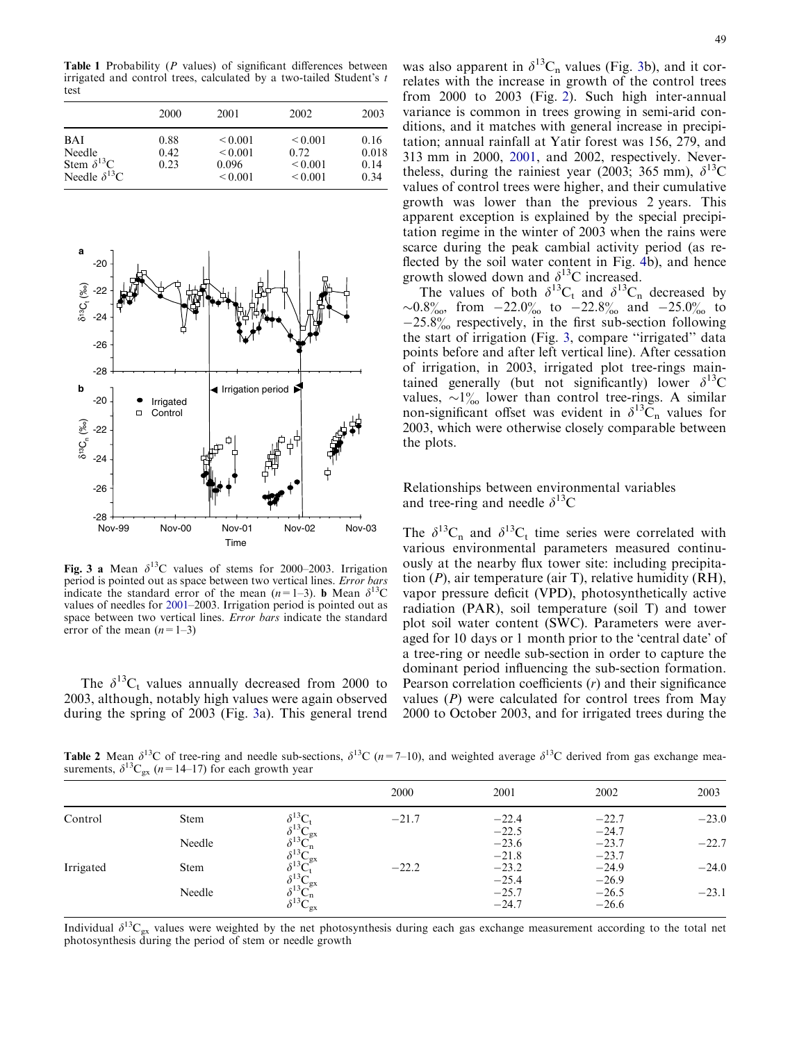<span id="page-4-0"></span>Table 1 Probability (P values) of significant differences between irrigated and control trees, calculated by a two-tailed Student's t test

|                                                                       | 2000                 | 2001                                                  | 2002                                                 | 2003                          |  |
|-----------------------------------------------------------------------|----------------------|-------------------------------------------------------|------------------------------------------------------|-------------------------------|--|
| <b>BAI</b><br>Needle<br>Stem $\delta^{13}C$<br>Needle $\delta^{13}$ C | 0.88<br>0.42<br>0.23 | ${}_{0.001}$<br>${}_{0.001}$<br>0.096<br>${}_{0.001}$ | ${}_{0.001}$<br>0.72<br>${}_{0.001}$<br>${}_{0.001}$ | 0.16<br>0.018<br>0.14<br>0.34 |  |



Fig. 3 a Mean  $\delta^{13}$ C values of stems for 2000–2003. Irrigation period is pointed out as space between two vertical lines. Error bars indicate the standard error of the mean  $(n=1-3)$ . **b** Mean  $\delta^{13}$ C values of needles for [2001](#page-8-0)–2003. Irrigation period is pointed out as space between two vertical lines. Error bars indicate the standard error of the mean  $(n=1-3)$ 

The  $\delta^{13}C_t$  values annually decreased from 2000 to 2003, although, notably high values were again observed during the spring of 2003 (Fig. 3a). This general trend was also apparent in  $\delta^{13}C_n$  values (Fig. 3b), and it correlates with the increase in growth of the control trees from 2000 to 2003 (Fig. [2\). Such high inter-annual](#page-3-0) [variance is common in trees growing in semi-arid con](#page-3-0)[ditions, and it matches with general increase in precipi](#page-3-0)[tation; annual rainfall at Yatir forest was 156, 279, and](#page-3-0) [313 mm in 2000,](#page-8-0) 2001, and 2002, respectively. Nevertheless, during the rainiest year (2003; 365 mm),  $\delta^{13}$ C values of control trees were higher, and their cumulative growth was lower than the previous 2 years. This apparent exception is explained by the special precipitation regime in the winter of 2003 when the rains were scarce during the peak cambial activity period (as reflected by the soil water content in Fig. [4b\), and hence](#page-5-0) [growth](#page-5-0) [slowed](#page-5-0) [down](#page-5-0) [and](#page-5-0)  $\delta^{13}$ C increased.

The values of both  $\delta^{13}C_t$  and  $\delta^{13}C_n$  decreased by ~0.8‰, from -22.0‰ to -22.8‰ and -25.0‰ to  $-25.8\%$  respectively, in the first sub-section following the start of irrigation (Fig. 3, compare ''irrigated'' data points before and after left vertical line). After cessation of irrigation, in 2003, irrigated plot tree-rings maintained generally (but not significantly) lower  $\delta^{13}$ C values,  $\sim 1\%$  lower than control tree-rings. A similar non-significant offset was evident in  $\delta^{13}$ C<sub>n</sub> values for 2003, which were otherwise closely comparable between the plots.

# Relationships between environmental variables and tree-ring and needle  $\delta^{13}$ C

The  $\delta^{13}C_n$  and  $\delta^{13}C_t$  time series were correlated with various environmental parameters measured continuously at the nearby flux tower site: including precipitation  $(P)$ , air temperature (air T), relative humidity (RH), vapor pressure deficit (VPD), photosynthetically active radiation (PAR), soil temperature (soil T) and tower plot soil water content (SWC). Parameters were averaged for 10 days or 1 month prior to the 'central date' of a tree-ring or needle sub-section in order to capture the dominant period influencing the sub-section formation. Pearson correlation coefficients (r) and their significance values  $(P)$  were calculated for control trees from May 2000 to October 2003, and for irrigated trees during the

**Table 2** Mean  $\delta^{13}$ C of tree-ring and needle sub-sections,  $\delta^{13}$ C (n=7–10), and weighted average  $\delta^{13}$ C derived from gas exchange measurements,  $\delta^{13}C_{gx}$  (n=14–17) for each growth year

|           |             |                                            | 2000    | 2001                          | 2002                          | 2003    |
|-----------|-------------|--------------------------------------------|---------|-------------------------------|-------------------------------|---------|
| Control   | <b>Stem</b> | $\delta^{13} \text{C}_t$                   | $-21.7$ | $-22.4$                       | $-22.7$                       | $-23.0$ |
|           | Needle      | $\mathbf{v}_{\rm gx}$<br>$\delta^{13}C_n$  |         | $-22.5$<br>$-23.6$            | $-24.7$<br>$-23.7$            | $-22.7$ |
| Irrigated | <b>Stem</b> | $\delta^{13}C_{gx}$<br>$\delta^{13}C_1$    | $-22.2$ | $-21.8$<br>$-23.2$            | $-23.7$<br>$-24.9$            | $-24.0$ |
|           | Needle      | $\delta^{13}C_n^{\circ}$<br>$s^{13}C_{gx}$ |         | $-25.4$<br>$-25.7$<br>$-24.7$ | $-26.9$<br>$-26.5$<br>$-26.6$ | $-23.1$ |

Individual  $\delta^{13}C_{gx}$  values were weighted by the net photosynthesis during each gas exchange measurement according to the total net photosynthesis during the period of stem or needle growth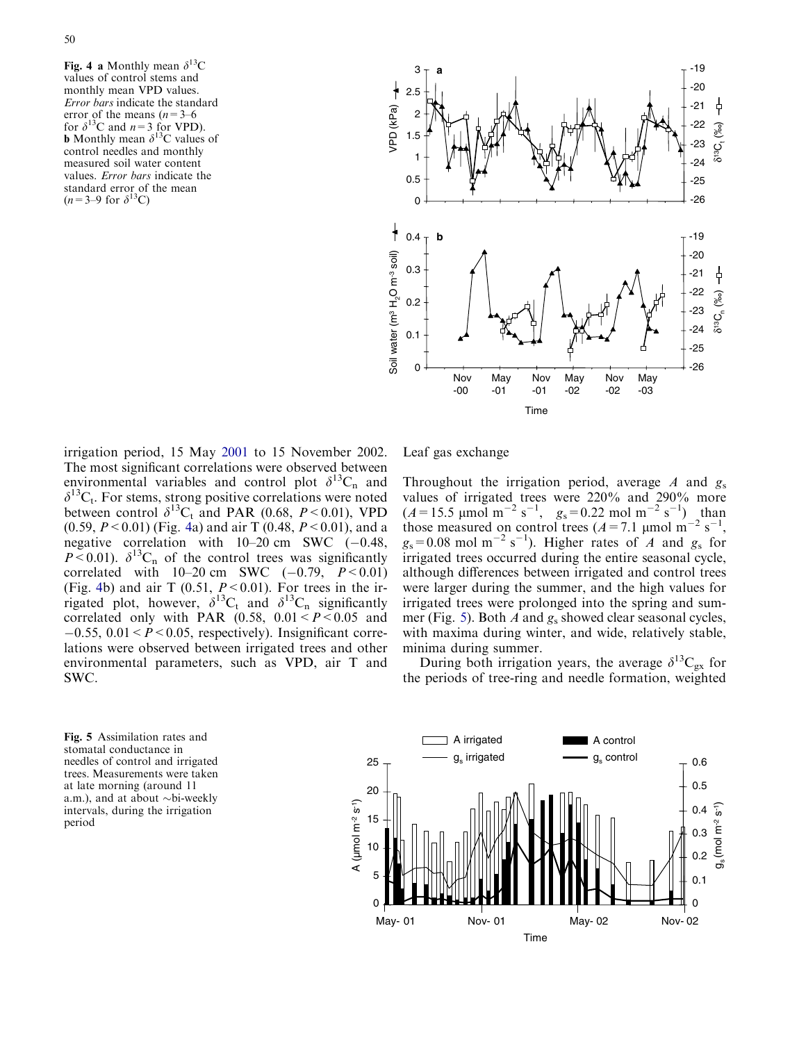<span id="page-5-0"></span>50

Fig. 4 a Monthly mean  $\delta^{13}$ C values of control stems and monthly mean VPD values. Error bars indicate the standard error of the means  $(n=3-6)$ for  $\delta^{13}$ C and  $n=3$  for VPD). **b** Monthly mean  $\delta^{13}$ C values of control needles and monthly measured soil water content values. Error bars indicate the standard error of the mean  $(n=3-9$  for  $\delta^{13}$ C)



irrigation period, 15 May [2001](#page-8-0) to 15 November 2002. The most significant correlations were observed between environmental variables and control plot  $\delta^{13}C_n$  and  $\delta^{13}C_t$ . For stems, strong positive correlations were noted between control  $\delta^{13}C_t$  and PAR (0.68, P < 0.01), VPD (0.59,  $P < 0.01$ ) (Fig. 4a) and air T (0.48,  $P < 0.01$ ), and a negative correlation with  $10-20$  cm SWC  $(-0.48,$  $P < 0.01$ ).  $\delta^{13}C_n$  of the control trees was significantly correlated with  $10-20$  cm SWC  $(-0.79, P < 0.01)$ (Fig. 4b) and air T  $(0.51, P<0.01)$ . For trees in the irrigated plot, however,  $\delta^{13}C_t$  and  $\delta^{13}C_n$  significantly correlated only with PAR  $(0.58, 0.01 < P < 0.05$  and  $-0.55$ ,  $0.01 < P < 0.05$ , respectively). Insignificant correlations were observed between irrigated trees and other environmental parameters, such as VPD, air T and SWC.

Leaf gas exchange

Throughout the irrigation period, average A and  $g_s$ values of irrigated trees were 220% and 290% more  $(A=15.5 \text{ }\mu\text{mol m}^{-2} \text{ s}^{-1}, g_s=0.22 \text{ mol m}^{-2} \text{ s}^{-1})$ , than those measured on control trees  $(A=7.1 \text{ }\mu\text{mol m}^{-2} \text{ s}^{-1}$ ,  $g_s = 0.08$  mol m<sup>-2</sup> s<sup>-1</sup>). Higher rates of *A* and  $g_s$  for irrigated trees occurred during the entire seasonal cycle, although differences between irrigated and control trees were larger during the summer, and the high values for irrigated trees were prolonged into the spring and summer (Fig. 5). Both A and  $g_s$  showed clear seasonal cycles, with maxima during winter, and wide, relatively stable, minima during summer.

During both irrigation years, the average  $\delta^{13}C_{gx}$  for the periods of tree-ring and needle formation, weighted

Fig. 5 Assimilation rates and stomatal conductance in needles of control and irrigated trees. Measurements were taken at late morning (around 11 a.m.), and at about  $\sim$ bi-weekly intervals, during the irrigation period

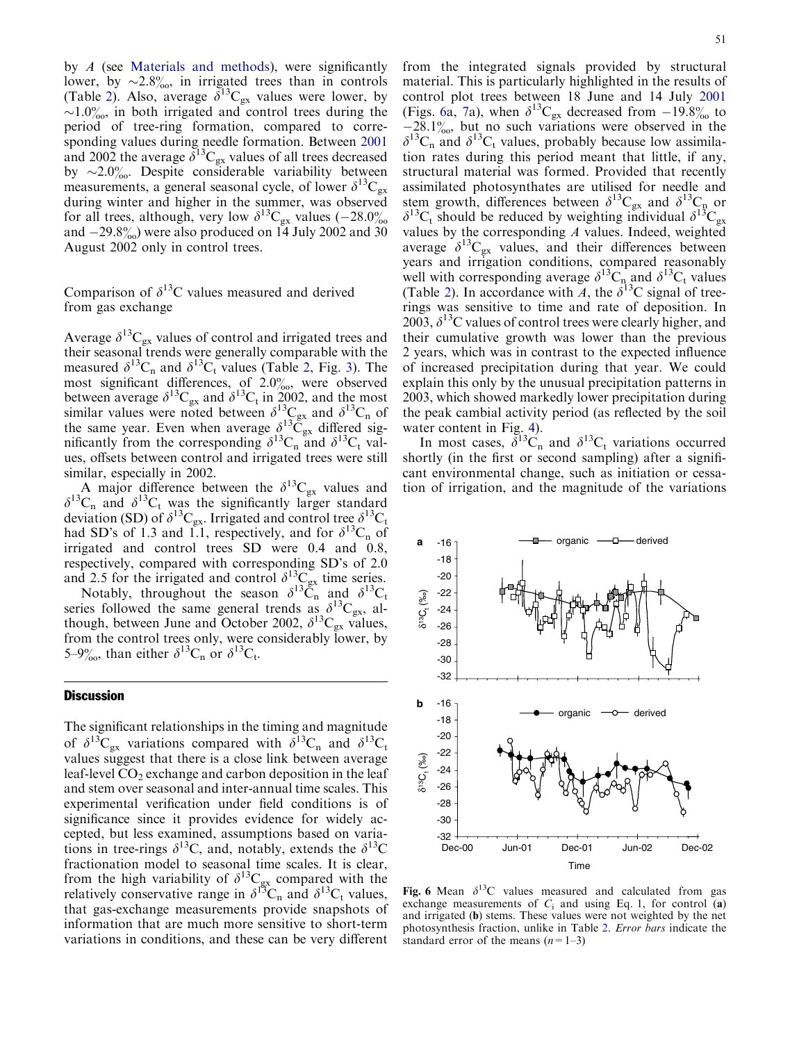by A (see Materials and methods), were significantly lower, by  $\sim 2.8\%$ , in irrigated trees than in controls (Table [2\).](#page-4-0) [Also,](#page-4-0) [average](#page-4-0)  $\delta^{13}C_{gx}$  [values were lower, by](#page-4-0)  $\sim$ 1.0%[, in both irrigated and control trees during the](#page-4-0) [period of tree-ring formation, compared to corre](#page-4-0)[sponding values during needle formation. Between](#page-8-0) 2001 and 2002 the average  $\delta^{13}C_{gx}$  values of all trees decreased by  $\sim$ 2.0 $\%$ . Despite considerable variability between measurements, a general seasonal cycle, of lower  $\delta^{13}C_{gx}$ during winter and higher in the summer, was observed for all trees, although, very low  $\delta^{13}C_{gx}$  values (-28.0%) and  $-29.8\%$  were also produced on 14 July 2002 and 30 August 2002 only in control trees.

# Comparison of  $\delta^{13}$ C values measured and derived from gas exchange

Average  $\delta^{13}C_{gx}$  values of control and irrigated trees and their seasonal trends were generally comparable with the measured  $\delta^{13}C_n$  and  $\delta^{13}C_t$  values (Table 2, Fig. [3\). The](#page-4-0) most significant differences, of  $2.0\%$ , were observed [between](#page-4-0) [average](#page-4-0)  $\delta^{13}C_{gx}$  and  $\delta^{13}C_t$  [in 2002, and the most](#page-4-0) [similar](#page-4-0) [values](#page-4-0) [were](#page-4-0) [noted](#page-4-0) [between](#page-4-0)  $\delta^{13}C_{gx}$  and  $\delta^{13}C_n$  [of](#page-4-0) [the](#page-4-0) [same](#page-4-0) [year.](#page-4-0) [Even](#page-4-0) [when](#page-4-0) [average](#page-4-0)  $\delta^{13}\tilde{C}_{gx}$  [differed sig](#page-4-0)[nificantly](#page-4-0) [from](#page-4-0) [the](#page-4-0) [corresponding](#page-4-0)  $\delta^{13}C_n$  [and](#page-4-0)  $\delta^{13}C_t$  [val](#page-4-0)[ues, offsets between control and irrigated trees were still](#page-4-0) [similar, especially in 2002.](#page-4-0)

A major difference between the  $\delta^{13}C_{gx}$  values and  $\delta^{13}C_n$  and  $\delta^{13}C_t$  was the significantly larger standard deviation (SD) of  $\delta^{13}C_{gx}$ . Irrigated and control tree  $\delta^{13}C_t$ had SD's of 1.3 and 1.1, respectively, and for  $\delta^{13}C_n$  of irrigated and control trees SD were 0.4 and 0.8, respectively, compared with corresponding SD's of 2.0 and 2.5 for the irrigated and control  $\delta^{13}C_{gx}$  time series.

Notably, throughout the season  $\delta^{13}\tilde{C}_n$  and  $\delta^{13}C_t$ series followed the same general trends as  $\delta^{13}C_{gx}$ , although, between June and October 2002,  $\delta^{13}C_{gx}$  values, from the control trees only, were considerably lower, by 5–9‰, than either  $\delta^{13}C_n$  or  $\delta^{13}C_t$ .

## **Discussion**

The significant relationships in the timing and magnitude of  $\delta^{13}C_{gx}$  variations compared with  $\delta^{13}C_n$  and  $\delta^{13}C_t$ values suggest that there is a close link between average leaf-level  $CO<sub>2</sub>$  exchange and carbon deposition in the leaf and stem over seasonal and inter-annual time scales. This experimental verification under field conditions is of significance since it provides evidence for widely accepted, but less examined, assumptions based on variations in tree-rings  $\delta^{13}$ C, and, notably, extends the  $\delta^{13}$ C fractionation model to seasonal time scales. It is clear, from the high variability of  $\delta^{13}C_{gx}$  compared with the relatively conservative range in  $\delta^{13}C_n$  and  $\delta^{13}C_t$  values, that gas-exchange measurements provide snapshots of information that are much more sensitive to short-term variations in conditions, and these can be very different

from the integrated signals provided by structural material. This is particularly highlighted in the results of control plot trees between 18 June and 14 July [2001](#page-8-0) (Figs. 6a, [7a\),](#page-7-0) [when](#page-7-0)  $\delta^{13}C_{gx}$  [decreased from](#page-7-0)  $-19.8\%$  $-19.8\%$  $-19.8\%$  to  $-28.1\%$ [, but no such variations were observed in the](#page-7-0)  $\delta^{13}C_n$  [and](#page-7-0)  $\delta^{13}C_t$  [values, probably because low assimila](#page-7-0)[tion rates during this period meant that little, if any,](#page-7-0) [structural material was formed. Provided that recently](#page-7-0) [assimilated photosynthates are utilised for needle and](#page-7-0) [stem](#page-7-0) [growth,](#page-7-0) [differences](#page-7-0) [between](#page-7-0)  $\delta^{13}C_{gx}$  and  $\delta^{13}C_{p}$  [or](#page-7-0)  $\delta^{13}C_t$  [should](#page-7-0) [be](#page-7-0) [reduced](#page-7-0) [by](#page-7-0) [weighting](#page-7-0) [individual](#page-7-0)  $\delta^{13}C_{gx}$ [values by the corresponding](#page-7-0)  $A$  values. Indeed, weighted [average](#page-7-0)  $\delta^{13}C_{gx}$  [values, and their differences between](#page-7-0) [years and irrigation conditions, compared reasonably](#page-7-0) [well](#page-7-0) [with](#page-7-0) [corresponding](#page-7-0) [average](#page-7-0)  $\delta^{13}C_{n}$  and  $\delta^{13}C_{t}$  [values](#page-7-0) (Table [2\).](#page-4-0) [In](#page-4-0) [accordance](#page-4-0) [with](#page-4-0) A, the  $\delta^{13}$ C signal of tree[rings was sensitive to time and rate of deposition. In](#page-4-0) [2003,](#page-4-0)  $\delta^{13}$ C values of control trees were clearly higher, and [their cumulative growth was lower than the previous](#page-4-0) [2 years, which was in contrast to the expected influence](#page-4-0) [of increased precipitation during that year. We could](#page-4-0) [explain this only by the unusual precipitation patterns in](#page-4-0) [2003, which showed markedly lower precipitation during](#page-4-0) [the peak cambial activity period \(as reflected by the soil](#page-4-0) [water content in Fig.](#page-5-0) 4).

In most cases,  $\delta^{13}C_n$  and  $\delta^{13}C_t$  variations occurred shortly (in the first or second sampling) after a significant environmental change, such as initiation or cessation of irrigation, and the magnitude of the variations



Fig. 6 Mean  $\delta^{13}$ C values measured and calculated from gas exchange measurements of  $C_i$  and using Eq. 1, for control (a) and irrigated (b) stems. These values were not weighted by the net photosynthesis fraction, unlike in Table 2. Error bars [indicate the](#page-4-0) standard error of the means  $(n=1-3)$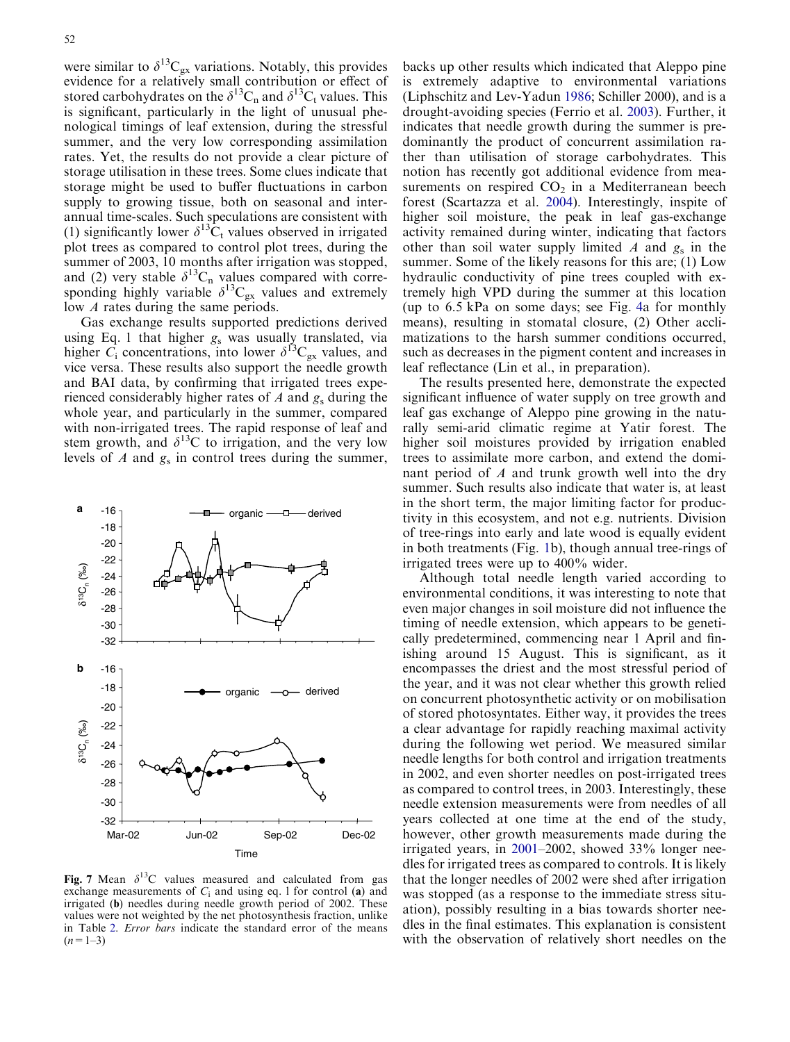<span id="page-7-0"></span>were similar to  $\delta^{13}C_{gx}$  variations. Notably, this provides evidence for a relatively small contribution or effect of stored carbohydrates on the  $\delta^{13}C_n$  and  $\delta^{13}C_t$  values. This is significant, particularly in the light of unusual phenological timings of leaf extension, during the stressful summer, and the very low corresponding assimilation rates. Yet, the results do not provide a clear picture of storage utilisation in these trees. Some clues indicate that storage might be used to buffer fluctuations in carbon supply to growing tissue, both on seasonal and interannual time-scales. Such speculations are consistent with (1) significantly lower  $\delta^{13}\hat{C}_t$  values observed in irrigated plot trees as compared to control plot trees, during the summer of 2003, 10 months after irrigation was stopped, and (2) very stable  $\delta^{13}C_n$  values compared with corresponding highly variable  $\delta^{13}C_{gx}$  values and extremely low A rates during the same periods.

Gas exchange results supported predictions derived using Eq. 1 that higher  $g_s$  was usually translated, via higher  $C_i$  concentrations, into lower  $\delta^{13}C_{gx}$  values, and vice versa. These results also support the needle growth and BAI data, by confirming that irrigated trees experienced considerably higher rates of A and  $g_s$  during the whole year, and particularly in the summer, compared with non-irrigated trees. The rapid response of leaf and stem growth, and  $\delta^{13}$ C to irrigation, and the very low levels of  $A$  and  $g_s$  in control trees during the summer,



Fig. 7 Mean  $\delta^{13}$ C values measured and calculated from gas exchange measurements of  $C_i$  and using eq. 1 for control (a) and irrigated (b) needles during needle growth period of 2002. These values were not weighted by the net photosynthesis fraction, unlike in Table 2. Error bars [indicate the standard error of the means](#page-4-0)  $(n=1-3)$ 

backs up other results which indicated that Aleppo pine is extremely adaptive to environmental variations (Liphschitz and Lev-Yadun [1986](#page-8-0); Schiller 2000), and is a drought-avoiding species (Ferrio et al. [2003\)](#page-8-0). Further, it indicates that needle growth during the summer is predominantly the product of concurrent assimilation rather than utilisation of storage carbohydrates. This notion has recently got additional evidence from measurements on respired  $CO<sub>2</sub>$  in a Mediterranean beech forest (Scartazza et al. [2004](#page-8-0)). Interestingly, inspite of higher soil moisture, the peak in leaf gas-exchange activity remained during winter, indicating that factors other than soil water supply limited A and  $g_s$  in the summer. Some of the likely reasons for this are; (1) Low hydraulic conductivity of pine trees coupled with extremely high VPD during the summer at this location (up to 6.5 kPa on some days; see Fig. [4a for monthly](#page-5-0) [means\), resulting in stomatal closure, \(2\) Other accli](#page-5-0)[matizations to the harsh summer conditions occurred,](#page-5-0) [such as decreases in the pigment content and increases in](#page-5-0) [leaf reflectance \(Lin et al., in preparation\).](#page-5-0)

The results presented here, demonstrate the expected significant influence of water supply on tree growth and leaf gas exchange of Aleppo pine growing in the naturally semi-arid climatic regime at Yatir forest. The higher soil moistures provided by irrigation enabled trees to assimilate more carbon, and extend the dominant period of A and trunk growth well into the dry summer. Such results also indicate that water is, at least in the short term, the major limiting factor for productivity in this ecosystem, and not e.g. nutrients. Division of tree-rings into early and late wood is equally evident in both treatments (Fig. [1b\), though annual tree-rings of](#page-2-0) [irrigated trees were up to 400% wider.](#page-2-0)

Although total needle length varied according to environmental conditions, it was interesting to note that even major changes in soil moisture did not influence the timing of needle extension, which appears to be genetically predetermined, commencing near 1 April and finishing around 15 August. This is significant, as it encompasses the driest and the most stressful period of the year, and it was not clear whether this growth relied on concurrent photosynthetic activity or on mobilisation of stored photosyntates. Either way, it provides the trees a clear advantage for rapidly reaching maximal activity during the following wet period. We measured similar needle lengths for both control and irrigation treatments in 2002, and even shorter needles on post-irrigated trees as compared to control trees, in 2003. Interestingly, these needle extension measurements were from needles of all years collected at one time at the end of the study, however, other growth measurements made during the irrigated years, in [2001–](#page-8-0)2002, showed 33% longer needles for irrigated trees as compared to controls. It is likely that the longer needles of 2002 were shed after irrigation was stopped (as a response to the immediate stress situation), possibly resulting in a bias towards shorter needles in the final estimates. This explanation is consistent with the observation of relatively short needles on the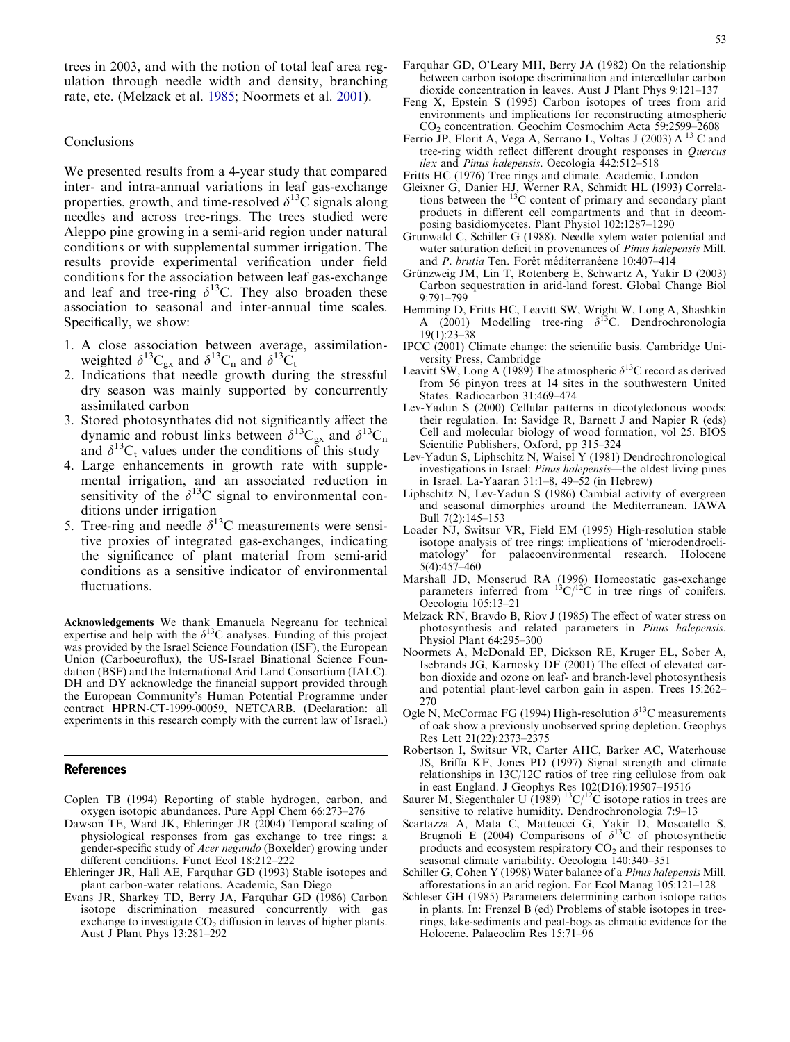<span id="page-8-0"></span>trees in 2003, and with the notion of total leaf area regulation through needle width and density, branching rate, etc. (Melzack et al. 1985; Noormets et al. 2001).

### Conclusions

We presented results from a 4-year study that compared inter- and intra-annual variations in leaf gas-exchange properties, growth, and time-resolved  $\delta^{13}$ C signals along needles and across tree-rings. The trees studied were Aleppo pine growing in a semi-arid region under natural conditions or with supplemental summer irrigation. The results provide experimental verification under field conditions for the association between leaf gas-exchange and leaf and tree-ring  $\delta^{13}$ C. They also broaden these association to seasonal and inter-annual time scales. Specifically, we show:

- 1. A close association between average, assimilationweighted  $\delta^{13}C_{gx}$  and  $\delta^{13}C_{h}$  and  $\delta^{13}C_{t}$
- 2. Indications that needle growth during the stressful dry season was mainly supported by concurrently assimilated carbon
- 3. Stored photosynthates did not significantly affect the dynamic and robust links between  $\delta^{13}C_{gx}$  and  $\delta^{13}C_n$ and  $\delta^{13}C_t$  values under the conditions of this study
- 4. Large enhancements in growth rate with supplemental irrigation, and an associated reduction in sensitivity of the  $\delta^{13}$ C signal to environmental conditions under irrigation
- 5. Tree-ring and needle  $\delta^{13}$ C measurements were sensitive proxies of integrated gas-exchanges, indicating the significance of plant material from semi-arid conditions as a sensitive indicator of environmental fluctuations.

**Acknowledgements** We thank Emanuela Negreanu for technical expertise and help with the  $\delta^{13}$ C analyses. Funding of this project was provided by the Israel Science Foundation (ISF), the European Union (Carboeuroflux), the US-Israel Binational Science Foundation (BSF) and the International Arid Land Consortium (IALC). DH and DY acknowledge the financial support provided through the European Community's Human Potential Programme under contract HPRN-CT-1999-00059, NETCARB. (Declaration: all experiments in this research comply with the current law of Israel.)

#### References

- Coplen TB (1994) Reporting of stable hydrogen, carbon, and oxygen isotopic abundances. Pure Appl Chem 66:273–276
- Dawson TE, Ward JK, Ehleringer JR (2004) Temporal scaling of physiological responses from gas exchange to tree rings: a gender-specific study of Acer negundo (Boxelder) growing under different conditions. Funct Ecol 18:212–222
- Ehleringer JR, Hall AE, Farquhar GD (1993) Stable isotopes and plant carbon-water relations. Academic, San Diego
- Evans JR, Sharkey TD, Berry JA, Farquhar GD (1986) Carbon isotope discrimination measured concurrently with gas exchange to investigate  $CO<sub>2</sub>$  diffusion in leaves of higher plants. Aust J Plant Phys 13:281–292
- Farquhar GD, O'Leary MH, Berry JA (1982) On the relationship between carbon isotope discrimination and intercellular carbon dioxide concentration in leaves. Aust J Plant Phys 9:121–137
- Feng X, Epstein S (1995) Carbon isotopes of trees from arid environments and implications for reconstructing atmospheric CO2 concentration. Geochim Cosmochim Acta 59:2599–2608
- Ferrio JP, Florit A, Vega A, Serrano L, Voltas J (2003)  $\Delta^{13}$  C and tree-ring width reflect different drought responses in Quercus ilex and Pinus halepensis. Oecologia 442:512–518
- Fritts HC (1976) Tree rings and climate. Academic, London
- Gleixner G, Danier HJ, Werner RA, Schmidt HL (1993) Correlations between the <sup>13</sup>C content of primary and secondary plant products in different cell compartments and that in decomposing basidiomycetes. Plant Physiol 102:1287–1290
- Grunwald C, Schiller G (1988). Needle xylem water potential and water saturation deficit in provenances of Pinus halepensis Mill. and P. brutia Ten. Forêt méditerranéene  $10:407-414$
- Grünzweig JM, Lin T, Rotenberg E, Schwartz A, Yakir D (2003) Carbon sequestration in arid-land forest. Global Change Biol 9:791–799
- Hemming D, Fritts HC, Leavitt SW, Wright W, Long A, Shashkin A (2001) Modelling tree-ring  $\delta^{13}$ C. Dendrochronologia 19(1):23–38
- IPCC (2001) Climate change: the scientific basis. Cambridge University Press, Cambridge
- Leavitt SW, Long A (1989) The atmospheric  $\delta^{13}$ C record as derived from 56 pinyon trees at 14 sites in the southwestern United States. Radiocarbon 31:469–474
- Lev-Yadun S (2000) Cellular patterns in dicotyledonous woods: their regulation. In: Savidge R, Barnett J and Napier R (eds) Cell and molecular biology of wood formation, vol 25. BIOS Scientific Publishers, Oxford, pp 315–324
- Lev-Yadun S, Liphschitz N, Waisel Y (1981) Dendrochronological investigations in Israel: Pinus halepensis—the oldest living pines in Israel. La-Yaaran 31:1–8, 49–52 (in Hebrew)
- Liphschitz N, Lev-Yadun S (1986) Cambial activity of evergreen and seasonal dimorphics around the Mediterranean. IAWA Bull 7(2):145–153
- Loader NJ, Switsur VR, Field EM (1995) High-resolution stable isotope analysis of tree rings: implications of 'microdendroclimatology' for palaeoenvironmental research. Holocene 5(4):457–460
- Marshall JD, Monserud RA (1996) Homeostatic gas-exchange parameters inferred from  $13C/12C$  in tree rings of conifers. Oecologia 105:13–21
- Melzack RN, Bravdo B, Riov J (1985) The effect of water stress on photosynthesis and related parameters in Pinus halepensis. Physiol Plant 64:295–300
- Noormets A, McDonald EP, Dickson RE, Kruger EL, Sober A, Isebrands JG, Karnosky DF (2001) The effect of elevated carbon dioxide and ozone on leaf- and branch-level photosynthesis and potential plant-level carbon gain in aspen. Trees 15:262– 270
- Ogle N, McCormac FG (1994) High-resolution  $\delta^{13}$ C measurements of oak show a previously unobserved spring depletion. Geophys Res Lett 21(22):2373–2375
- Robertson I, Switsur VR, Carter AHC, Barker AC, Waterhouse JS, Briffa KF, Jones PD (1997) Signal strength and climate relationships in 13C/12C ratios of tree ring cellulose from oak in east England. J Geophys Res  $102(D16):19507-19516$ <br>Saurer M, Siegenthaler U (1989) <sup>13</sup>C/<sup>12</sup>C isotope ratios in trees are
- sensitive to relative humidity. Dendrochronologia 7:9–13
- Scartazza A, Mata C, Matteucci G, Yakir D, Moscatello S, Brugnoli E (2004) Comparisons of  $\delta^{13}$ C of photosynthetic products and ecosystem respiratory  $CO<sub>2</sub>$  and their responses to seasonal climate variability. Oecologia 140:340–351
- Schiller G, Cohen Y (1998) Water balance of a Pinus halepensis Mill. afforestations in an arid region. For Ecol Manag 105:121–128
- Schleser GH (1985) Parameters determining carbon isotope ratios in plants. In: Frenzel B (ed) Problems of stable isotopes in treerings, lake-sediments and peat-bogs as climatic evidence for the Holocene. Palaeoclim Res 15:71–96